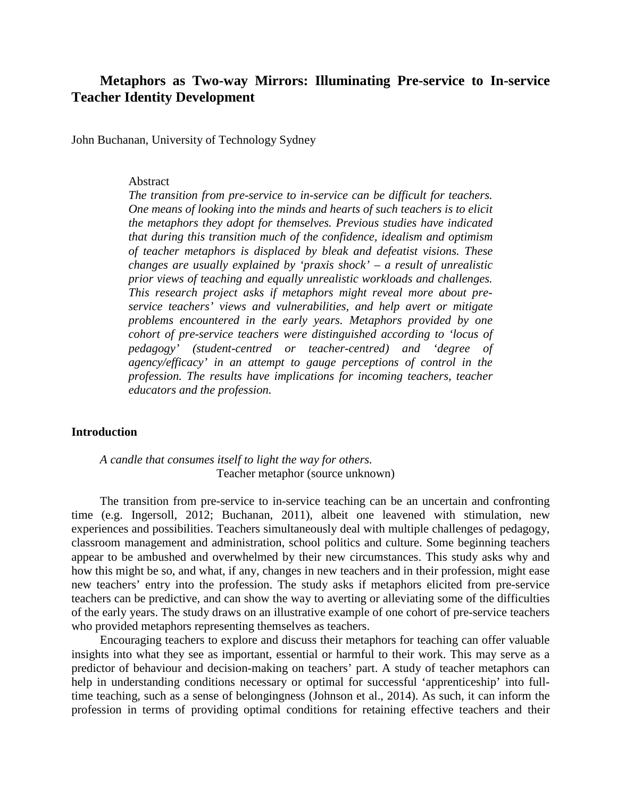# **Metaphors as Two-way Mirrors: Illuminating Pre-service to In-service Teacher Identity Development**

John Buchanan, University of Technology Sydney

#### Abstract

*The transition from pre-service to in-service can be difficult for teachers. One means of looking into the minds and hearts of such teachers is to elicit the metaphors they adopt for themselves. Previous studies have indicated that during this transition much of the confidence, idealism and optimism of teacher metaphors is displaced by bleak and defeatist visions. These changes are usually explained by 'praxis shock' – a result of unrealistic prior views of teaching and equally unrealistic workloads and challenges. This research project asks if metaphors might reveal more about preservice teachers' views and vulnerabilities, and help avert or mitigate problems encountered in the early years. Metaphors provided by one cohort of pre-service teachers were distinguished according to 'locus of pedagogy' (student-centred or teacher-centred) and 'degree of agency/efficacy' in an attempt to gauge perceptions of control in the profession. The results have implications for incoming teachers, teacher educators and the profession.*

## **Introduction**

*A candle that consumes itself to light the way for others.* Teacher metaphor (source unknown)

The transition from pre-service to in-service teaching can be an uncertain and confronting time (e.g. Ingersoll, 2012; Buchanan, 2011), albeit one leavened with stimulation, new experiences and possibilities. Teachers simultaneously deal with multiple challenges of pedagogy, classroom management and administration, school politics and culture. Some beginning teachers appear to be ambushed and overwhelmed by their new circumstances. This study asks why and how this might be so, and what, if any, changes in new teachers and in their profession, might ease new teachers' entry into the profession. The study asks if metaphors elicited from pre-service teachers can be predictive, and can show the way to averting or alleviating some of the difficulties of the early years. The study draws on an illustrative example of one cohort of pre-service teachers who provided metaphors representing themselves as teachers.

Encouraging teachers to explore and discuss their metaphors for teaching can offer valuable insights into what they see as important, essential or harmful to their work. This may serve as a predictor of behaviour and decision-making on teachers' part. A study of teacher metaphors can help in understanding conditions necessary or optimal for successful 'apprenticeship' into fulltime teaching, such as a sense of belongingness (Johnson et al., 2014). As such, it can inform the profession in terms of providing optimal conditions for retaining effective teachers and their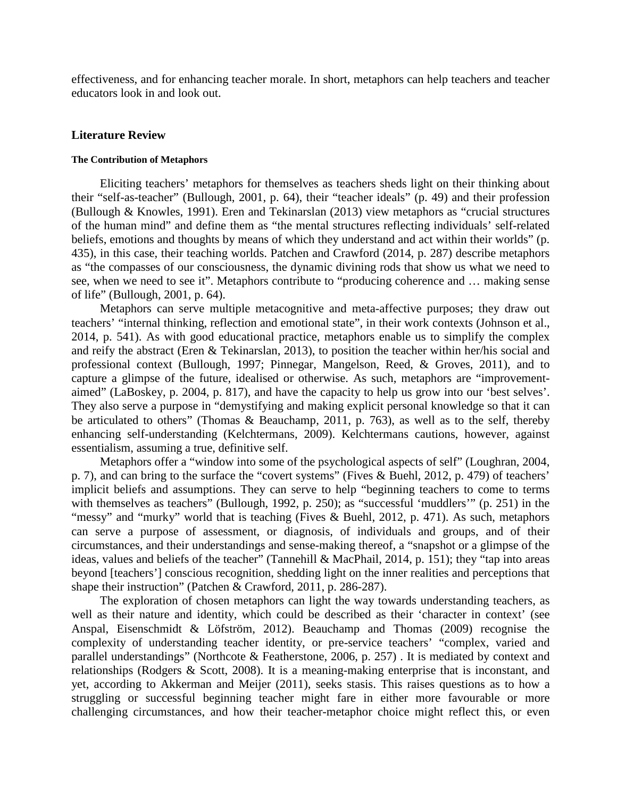effectiveness, and for enhancing teacher morale. In short, metaphors can help teachers and teacher educators look in and look out.

### **Literature Review**

### **The Contribution of Metaphors**

Eliciting teachers' metaphors for themselves as teachers sheds light on their thinking about their "self-as-teacher" (Bullough, 2001, p. 64), their "teacher ideals" (p. 49) and their profession (Bullough & Knowles, 1991). Eren and Tekinarslan (2013) view metaphors as "crucial structures of the human mind" and define them as "the mental structures reflecting individuals' self-related beliefs, emotions and thoughts by means of which they understand and act within their worlds" (p. 435), in this case, their teaching worlds. Patchen and Crawford (2014, p. 287) describe metaphors as "the compasses of our consciousness, the dynamic divining rods that show us what we need to see, when we need to see it". Metaphors contribute to "producing coherence and … making sense of life" (Bullough, 2001, p. 64).

Metaphors can serve multiple metacognitive and meta-affective purposes; they draw out teachers' "internal thinking, reflection and emotional state", in their work contexts (Johnson et al., 2014, p. 541). As with good educational practice, metaphors enable us to simplify the complex and reify the abstract (Eren & Tekinarslan, 2013), to position the teacher within her/his social and professional context (Bullough, 1997; Pinnegar, Mangelson, Reed, & Groves, 2011), and to capture a glimpse of the future, idealised or otherwise. As such, metaphors are "improvementaimed" (LaBoskey, p. 2004, p. 817), and have the capacity to help us grow into our 'best selves'. They also serve a purpose in "demystifying and making explicit personal knowledge so that it can be articulated to others" (Thomas & Beauchamp, 2011, p. 763), as well as to the self, thereby enhancing self-understanding (Kelchtermans, 2009). Kelchtermans cautions, however, against essentialism, assuming a true, definitive self.

Metaphors offer a "window into some of the psychological aspects of self" (Loughran, 2004, p. 7), and can bring to the surface the "covert systems" (Fives & Buehl, 2012, p. 479) of teachers' implicit beliefs and assumptions. They can serve to help "beginning teachers to come to terms with themselves as teachers" (Bullough, 1992, p. 250); as "successful 'muddlers'" (p. 251) in the "messy" and "murky" world that is teaching (Fives & Buehl, 2012, p. 471). As such, metaphors can serve a purpose of assessment, or diagnosis, of individuals and groups, and of their circumstances, and their understandings and sense-making thereof, a "snapshot or a glimpse of the ideas, values and beliefs of the teacher" (Tannehill & MacPhail, 2014, p. 151); they "tap into areas beyond [teachers'] conscious recognition, shedding light on the inner realities and perceptions that shape their instruction" (Patchen & Crawford, 2011, p. 286-287).

The exploration of chosen metaphors can light the way towards understanding teachers, as well as their nature and identity, which could be described as their 'character in context' (see Anspal, Eisenschmidt & Löfström, 2012). Beauchamp and Thomas (2009) recognise the complexity of understanding teacher identity, or pre-service teachers' "complex, varied and parallel understandings" (Northcote & Featherstone, 2006, p. 257) . It is mediated by context and relationships (Rodgers & Scott, 2008). It is a meaning-making enterprise that is inconstant, and yet, according to Akkerman and Meijer (2011), seeks stasis. This raises questions as to how a struggling or successful beginning teacher might fare in either more favourable or more challenging circumstances, and how their teacher-metaphor choice might reflect this, or even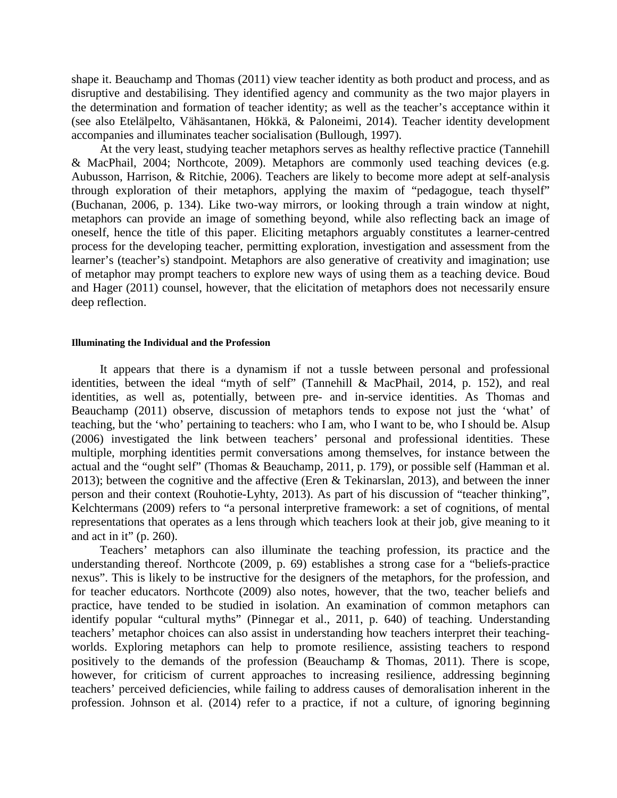shape it. Beauchamp and Thomas (2011) view teacher identity as both product and process, and as disruptive and destabilising. They identified agency and community as the two major players in the determination and formation of teacher identity; as well as the teacher's acceptance within it (see also Etelälpelto, Vähäsantanen, Hökkä, & Paloneimi, 2014). Teacher identity development accompanies and illuminates teacher socialisation (Bullough, 1997).

At the very least, studying teacher metaphors serves as healthy reflective practice (Tannehill & MacPhail, 2004; Northcote, 2009). Metaphors are commonly used teaching devices (e.g. Aubusson, Harrison, & Ritchie, 2006). Teachers are likely to become more adept at self-analysis through exploration of their metaphors, applying the maxim of "pedagogue, teach thyself" (Buchanan, 2006, p. 134). Like two-way mirrors, or looking through a train window at night, metaphors can provide an image of something beyond, while also reflecting back an image of oneself, hence the title of this paper. Eliciting metaphors arguably constitutes a learner-centred process for the developing teacher, permitting exploration, investigation and assessment from the learner's (teacher's) standpoint. Metaphors are also generative of creativity and imagination; use of metaphor may prompt teachers to explore new ways of using them as a teaching device. Boud and Hager (2011) counsel, however, that the elicitation of metaphors does not necessarily ensure deep reflection.

#### **Illuminating the Individual and the Profession**

It appears that there is a dynamism if not a tussle between personal and professional identities, between the ideal "myth of self" (Tannehill & MacPhail, 2014, p. 152), and real identities, as well as, potentially, between pre- and in-service identities. As Thomas and Beauchamp (2011) observe, discussion of metaphors tends to expose not just the 'what' of teaching, but the 'who' pertaining to teachers: who I am, who I want to be, who I should be. Alsup (2006) investigated the link between teachers' personal and professional identities. These multiple, morphing identities permit conversations among themselves, for instance between the actual and the "ought self" (Thomas & Beauchamp, 2011, p. 179), or possible self (Hamman et al. 2013); between the cognitive and the affective (Eren & Tekinarslan, 2013), and between the inner person and their context (Rouhotie-Lyhty, 2013). As part of his discussion of "teacher thinking", Kelchtermans (2009) refers to "a personal interpretive framework: a set of cognitions, of mental representations that operates as a lens through which teachers look at their job, give meaning to it and act in it"  $(p. 260)$ .

Teachers' metaphors can also illuminate the teaching profession, its practice and the understanding thereof. Northcote (2009, p. 69) establishes a strong case for a "beliefs-practice nexus". This is likely to be instructive for the designers of the metaphors, for the profession, and for teacher educators. Northcote (2009) also notes, however, that the two, teacher beliefs and practice, have tended to be studied in isolation. An examination of common metaphors can identify popular "cultural myths" (Pinnegar et al., 2011, p. 640) of teaching. Understanding teachers' metaphor choices can also assist in understanding how teachers interpret their teachingworlds. Exploring metaphors can help to promote resilience, assisting teachers to respond positively to the demands of the profession (Beauchamp & Thomas, 2011). There is scope, however, for criticism of current approaches to increasing resilience, addressing beginning teachers' perceived deficiencies, while failing to address causes of demoralisation inherent in the profession. Johnson et al. (2014) refer to a practice, if not a culture, of ignoring beginning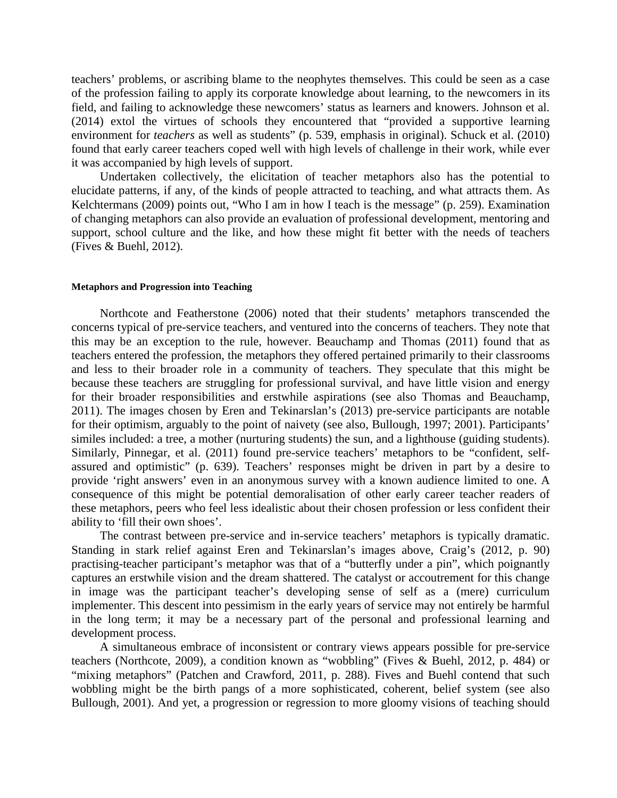teachers' problems, or ascribing blame to the neophytes themselves. This could be seen as a case of the profession failing to apply its corporate knowledge about learning, to the newcomers in its field, and failing to acknowledge these newcomers' status as learners and knowers. Johnson et al. (2014) extol the virtues of schools they encountered that "provided a supportive learning environment for *teachers* as well as students" (p. 539, emphasis in original). Schuck et al. (2010) found that early career teachers coped well with high levels of challenge in their work, while ever it was accompanied by high levels of support.

Undertaken collectively, the elicitation of teacher metaphors also has the potential to elucidate patterns, if any, of the kinds of people attracted to teaching, and what attracts them. As Kelchtermans (2009) points out, "Who I am in how I teach is the message" (p. 259). Examination of changing metaphors can also provide an evaluation of professional development, mentoring and support, school culture and the like, and how these might fit better with the needs of teachers (Fives & Buehl, 2012).

#### **Metaphors and Progression into Teaching**

Northcote and Featherstone (2006) noted that their students' metaphors transcended the concerns typical of pre-service teachers, and ventured into the concerns of teachers. They note that this may be an exception to the rule, however. Beauchamp and Thomas (2011) found that as teachers entered the profession, the metaphors they offered pertained primarily to their classrooms and less to their broader role in a community of teachers. They speculate that this might be because these teachers are struggling for professional survival, and have little vision and energy for their broader responsibilities and erstwhile aspirations (see also Thomas and Beauchamp, 2011). The images chosen by Eren and Tekinarslan's (2013) pre-service participants are notable for their optimism, arguably to the point of naivety (see also, Bullough, 1997; 2001). Participants' similes included: a tree, a mother (nurturing students) the sun, and a lighthouse (guiding students). Similarly, Pinnegar, et al. (2011) found pre-service teachers' metaphors to be "confident, selfassured and optimistic" (p. 639). Teachers' responses might be driven in part by a desire to provide 'right answers' even in an anonymous survey with a known audience limited to one. A consequence of this might be potential demoralisation of other early career teacher readers of these metaphors, peers who feel less idealistic about their chosen profession or less confident their ability to 'fill their own shoes'.

The contrast between pre-service and in-service teachers' metaphors is typically dramatic. Standing in stark relief against Eren and Tekinarslan's images above, Craig's (2012, p. 90) practising-teacher participant's metaphor was that of a "butterfly under a pin", which poignantly captures an erstwhile vision and the dream shattered. The catalyst or accoutrement for this change in image was the participant teacher's developing sense of self as a (mere) curriculum implementer. This descent into pessimism in the early years of service may not entirely be harmful in the long term; it may be a necessary part of the personal and professional learning and development process.

A simultaneous embrace of inconsistent or contrary views appears possible for pre-service teachers (Northcote, 2009), a condition known as "wobbling" (Fives & Buehl, 2012, p. 484) or "mixing metaphors" (Patchen and Crawford, 2011, p. 288). Fives and Buehl contend that such wobbling might be the birth pangs of a more sophisticated, coherent, belief system (see also Bullough, 2001). And yet, a progression or regression to more gloomy visions of teaching should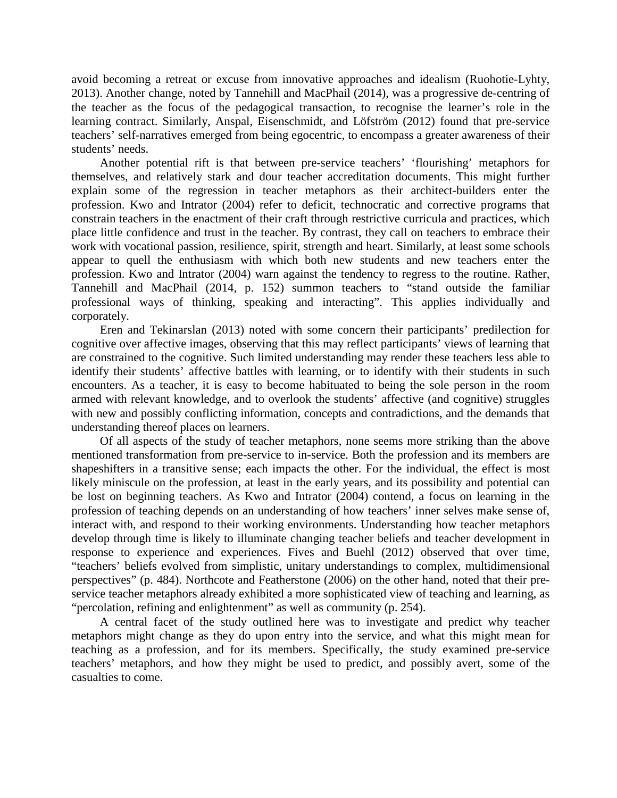avoid becoming a retreat or excuse from innovative approaches and idealism (Ruohotie-Lyhty, 2013). Another change, noted by Tannehill and MacPhail (2014), was a progressive de-centring of the teacher as the focus of the pedagogical transaction, to recognise the learner's role in the learning contract. Similarly, Anspal, Eisenschmidt, and Löfström (2012) found that pre-service teachers' self-narratives emerged from being egocentric, to encompass a greater awareness of their students' needs.

Another potential rift is that between pre-service teachers' 'flourishing' metaphors for themselves, and relatively stark and dour teacher accreditation documents. This might further explain some of the regression in teacher metaphors as their architect-builders enter the profession. Kwo and Intrator (2004) refer to deficit, technocratic and corrective programs that constrain teachers in the enactment of their craft through restrictive curricula and practices, which place little confidence and trust in the teacher. By contrast, they call on teachers to embrace their work with vocational passion, resilience, spirit, strength and heart. Similarly, at least some schools appear to quell the enthusiasm with which both new students and new teachers enter the profession. Kwo and Intrator (2004) warn against the tendency to regress to the routine. Rather, Tannehill and MacPhail (2014, p. 152) summon teachers to "stand outside the familiar professional ways of thinking, speaking and interacting". This applies individually and corporately.

Eren and Tekinarslan (2013) noted with some concern their participants' predilection for cognitive over affective images, observing that this may reflect participants' views of learning that are constrained to the cognitive. Such limited understanding may render these teachers less able to identify their students' affective battles with learning, or to identify with their students in such encounters. As a teacher, it is easy to become habituated to being the sole person in the room armed with relevant knowledge, and to overlook the students' affective (and cognitive) struggles with new and possibly conflicting information, concepts and contradictions, and the demands that understanding thereof places on learners.

Of all aspects of the study of teacher metaphors, none seems more striking than the above mentioned transformation from pre-service to in-service. Both the profession and its members are shapeshifters in a transitive sense; each impacts the other. For the individual, the effect is most likely miniscule on the profession, at least in the early years, and its possibility and potential can be lost on beginning teachers. As Kwo and Intrator (2004) contend, a focus on learning in the profession of teaching depends on an understanding of how teachers' inner selves make sense of, interact with, and respond to their working environments. Understanding how teacher metaphors develop through time is likely to illuminate changing teacher beliefs and teacher development in response to experience and experiences. Fives and Buehl (2012) observed that over time, "teachers' beliefs evolved from simplistic, unitary understandings to complex, multidimensional perspectives" (p. 484). Northcote and Featherstone (2006) on the other hand, noted that their preservice teacher metaphors already exhibited a more sophisticated view of teaching and learning, as "percolation, refining and enlightenment" as well as community (p. 254).

A central facet of the study outlined here was to investigate and predict why teacher metaphors might change as they do upon entry into the service, and what this might mean for teaching as a profession, and for its members. Specifically, the study examined pre-service teachers' metaphors, and how they might be used to predict, and possibly avert, some of the casualties to come.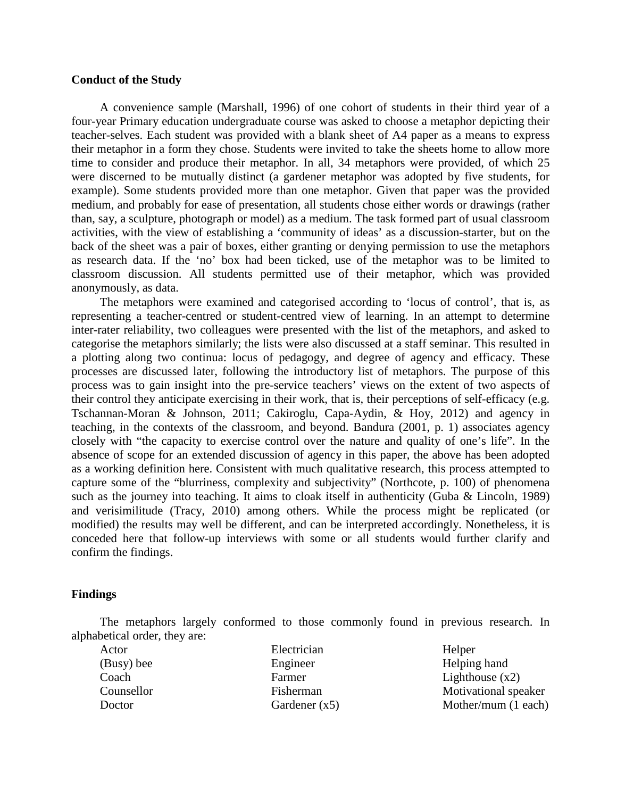### **Conduct of the Study**

A convenience sample (Marshall, 1996) of one cohort of students in their third year of a four-year Primary education undergraduate course was asked to choose a metaphor depicting their teacher-selves. Each student was provided with a blank sheet of A4 paper as a means to express their metaphor in a form they chose. Students were invited to take the sheets home to allow more time to consider and produce their metaphor. In all, 34 metaphors were provided, of which 25 were discerned to be mutually distinct (a gardener metaphor was adopted by five students, for example). Some students provided more than one metaphor. Given that paper was the provided medium, and probably for ease of presentation, all students chose either words or drawings (rather than, say, a sculpture, photograph or model) as a medium. The task formed part of usual classroom activities, with the view of establishing a 'community of ideas' as a discussion-starter, but on the back of the sheet was a pair of boxes, either granting or denying permission to use the metaphors as research data. If the 'no' box had been ticked, use of the metaphor was to be limited to classroom discussion. All students permitted use of their metaphor, which was provided anonymously, as data.

The metaphors were examined and categorised according to 'locus of control', that is, as representing a teacher-centred or student-centred view of learning. In an attempt to determine inter-rater reliability, two colleagues were presented with the list of the metaphors, and asked to categorise the metaphors similarly; the lists were also discussed at a staff seminar. This resulted in a plotting along two continua: locus of pedagogy, and degree of agency and efficacy. These processes are discussed later, following the introductory list of metaphors. The purpose of this process was to gain insight into the pre-service teachers' views on the extent of two aspects of their control they anticipate exercising in their work, that is, their perceptions of self-efficacy (e.g. Tschannan-Moran & Johnson, 2011; Cakiroglu, Capa-Aydin, & Hoy, 2012) and agency in teaching, in the contexts of the classroom, and beyond. Bandura (2001, p. 1) associates agency closely with "the capacity to exercise control over the nature and quality of one's life". In the absence of scope for an extended discussion of agency in this paper, the above has been adopted as a working definition here. Consistent with much qualitative research, this process attempted to capture some of the "blurriness, complexity and subjectivity" (Northcote, p. 100) of phenomena such as the journey into teaching. It aims to cloak itself in authenticity (Guba & Lincoln, 1989) and verisimilitude (Tracy, 2010) among others. While the process might be replicated (or modified) the results may well be different, and can be interpreted accordingly. Nonetheless, it is conceded here that follow-up interviews with some or all students would further clarify and confirm the findings.

### **Findings**

The metaphors largely conformed to those commonly found in previous research. In alphabetical order, they are:

| Actor      | Electrician     | Helper                |
|------------|-----------------|-----------------------|
| (Busy) bee | Engineer        | Helping hand          |
| Coach      | Farmer          | Lighthouse $(x2)$     |
| Counsellor | Fisherman       | Motivational speaker  |
| Doctor     | Gardener $(x5)$ | Mother/mum $(1$ each) |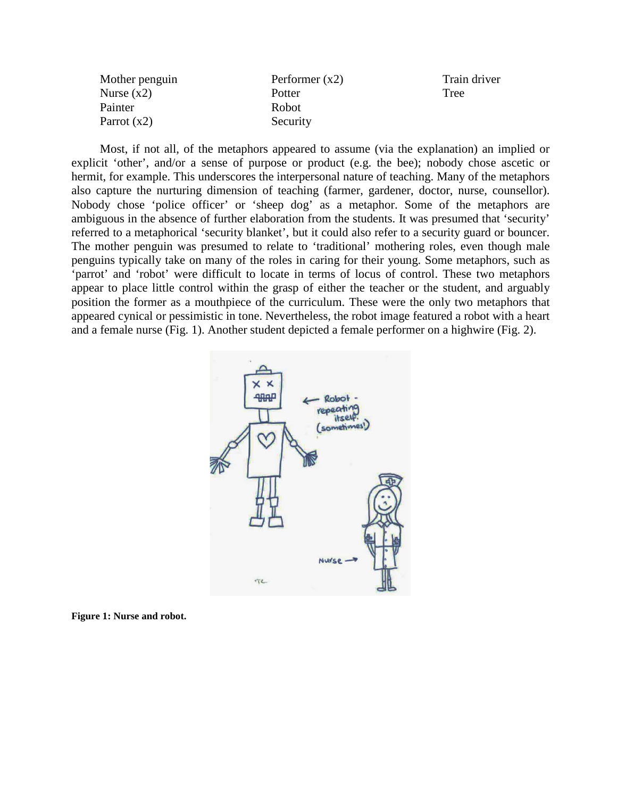Mother penguin Nurse  $(x2)$ Painter Parrot (x2) Performer (x2) **Potter** Robot Security

Train driver Tree

Most, if not all, of the metaphors appeared to assume (via the explanation) an implied or explicit 'other', and/or a sense of purpose or product (e.g. the bee); nobody chose ascetic or hermit, for example. This underscores the interpersonal nature of teaching. Many of the metaphors also capture the nurturing dimension of teaching (farmer, gardener, doctor, nurse, counsellor). Nobody chose 'police officer' or 'sheep dog' as a metaphor. Some of the metaphors are ambiguous in the absence of further elaboration from the students. It was presumed that 'security' referred to a metaphorical 'security blanket', but it could also refer to a security guard or bouncer. The mother penguin was presumed to relate to 'traditional' mothering roles, even though male penguins typically take on many of the roles in caring for their young. Some metaphors, such as 'parrot' and 'robot' were difficult to locate in terms of locus of control. These two metaphors appear to place little control within the grasp of either the teacher or the student, and arguably position the former as a mouthpiece of the curriculum. These were the only two metaphors that appeared cynical or pessimistic in tone. Nevertheless, the robot image featured a robot with a heart and a female nurse (Fig. 1). Another student depicted a female performer on a highwire (Fig. 2).



**Figure 1: Nurse and robot.**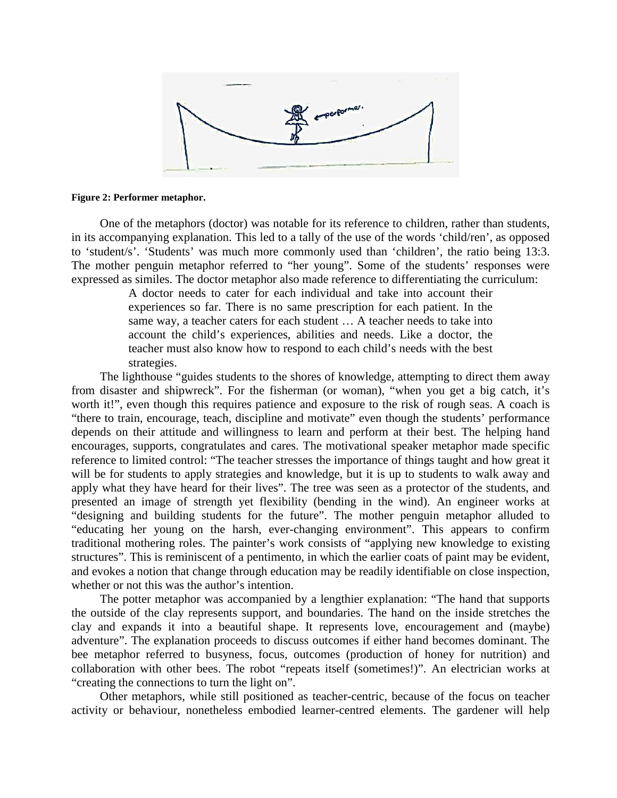

#### **Figure 2: Performer metaphor.**

One of the metaphors (doctor) was notable for its reference to children, rather than students, in its accompanying explanation. This led to a tally of the use of the words 'child/ren', as opposed to 'student/s'. 'Students' was much more commonly used than 'children', the ratio being 13:3. The mother penguin metaphor referred to "her young". Some of the students' responses were expressed as similes. The doctor metaphor also made reference to differentiating the curriculum:

> A doctor needs to cater for each individual and take into account their experiences so far. There is no same prescription for each patient. In the same way, a teacher caters for each student … A teacher needs to take into account the child's experiences, abilities and needs. Like a doctor, the teacher must also know how to respond to each child's needs with the best strategies.

The lighthouse "guides students to the shores of knowledge, attempting to direct them away from disaster and shipwreck". For the fisherman (or woman), "when you get a big catch, it's worth it!", even though this requires patience and exposure to the risk of rough seas. A coach is "there to train, encourage, teach, discipline and motivate" even though the students' performance depends on their attitude and willingness to learn and perform at their best. The helping hand encourages, supports, congratulates and cares. The motivational speaker metaphor made specific reference to limited control: "The teacher stresses the importance of things taught and how great it will be for students to apply strategies and knowledge, but it is up to students to walk away and apply what they have heard for their lives". The tree was seen as a protector of the students, and presented an image of strength yet flexibility (bending in the wind). An engineer works at "designing and building students for the future". The mother penguin metaphor alluded to "educating her young on the harsh, ever-changing environment". This appears to confirm traditional mothering roles. The painter's work consists of "applying new knowledge to existing structures". This is reminiscent of a pentimento, in which the earlier coats of paint may be evident, and evokes a notion that change through education may be readily identifiable on close inspection, whether or not this was the author's intention.

The potter metaphor was accompanied by a lengthier explanation: "The hand that supports the outside of the clay represents support, and boundaries. The hand on the inside stretches the clay and expands it into a beautiful shape. It represents love, encouragement and (maybe) adventure". The explanation proceeds to discuss outcomes if either hand becomes dominant. The bee metaphor referred to busyness, focus, outcomes (production of honey for nutrition) and collaboration with other bees. The robot "repeats itself (sometimes!)". An electrician works at "creating the connections to turn the light on".

Other metaphors, while still positioned as teacher-centric, because of the focus on teacher activity or behaviour, nonetheless embodied learner-centred elements. The gardener will help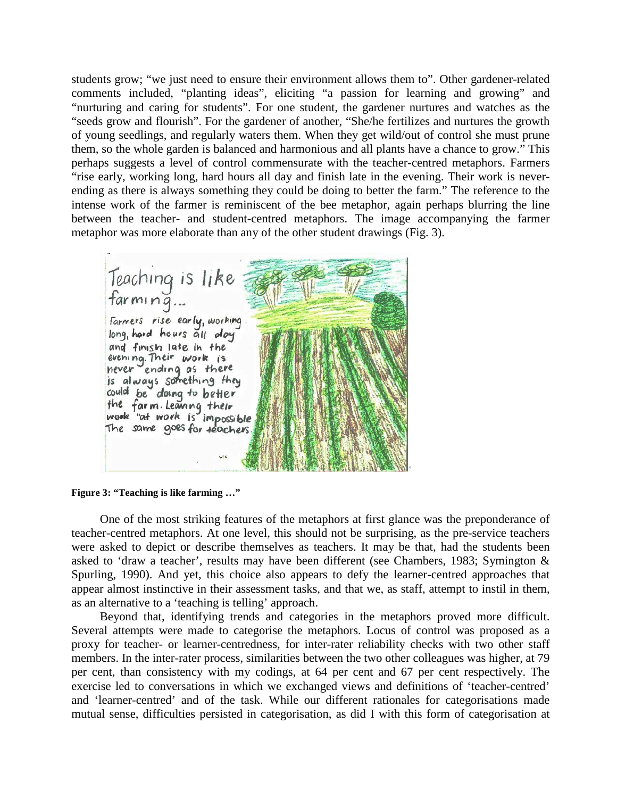students grow; "we just need to ensure their environment allows them to". Other gardener-related comments included, "planting ideas", eliciting "a passion for learning and growing" and "nurturing and caring for students". For one student, the gardener nurtures and watches as the "seeds grow and flourish". For the gardener of another, "She/he fertilizes and nurtures the growth of young seedlings, and regularly waters them. When they get wild/out of control she must prune them, so the whole garden is balanced and harmonious and all plants have a chance to grow." This perhaps suggests a level of control commensurate with the teacher-centred metaphors. Farmers "rise early, working long, hard hours all day and finish late in the evening. Their work is neverending as there is always something they could be doing to better the farm." The reference to the intense work of the farmer is reminiscent of the bee metaphor, again perhaps blurring the line between the teacher- and student-centred metaphors. The image accompanying the farmer metaphor was more elaborate than any of the other student drawings (Fig. 3).

Teaching is like<br>farming... Farmers rise early, working. long, hard hours all day and finish late in the evening. Their work is<br>never ending as there is always something they could be doing to better the farm Leaving their<br>work "at work is impossible The same goes for teachers.

**Figure 3: "Teaching is like farming …"**

One of the most striking features of the metaphors at first glance was the preponderance of teacher-centred metaphors. At one level, this should not be surprising, as the pre-service teachers were asked to depict or describe themselves as teachers. It may be that, had the students been asked to 'draw a teacher', results may have been different (see Chambers, 1983; Symington & Spurling, 1990). And yet, this choice also appears to defy the learner-centred approaches that appear almost instinctive in their assessment tasks, and that we, as staff, attempt to instil in them, as an alternative to a 'teaching is telling' approach.

Beyond that, identifying trends and categories in the metaphors proved more difficult. Several attempts were made to categorise the metaphors. Locus of control was proposed as a proxy for teacher- or learner-centredness, for inter-rater reliability checks with two other staff members. In the inter-rater process, similarities between the two other colleagues was higher, at 79 per cent, than consistency with my codings, at 64 per cent and 67 per cent respectively. The exercise led to conversations in which we exchanged views and definitions of 'teacher-centred' and 'learner-centred' and of the task. While our different rationales for categorisations made mutual sense, difficulties persisted in categorisation, as did I with this form of categorisation at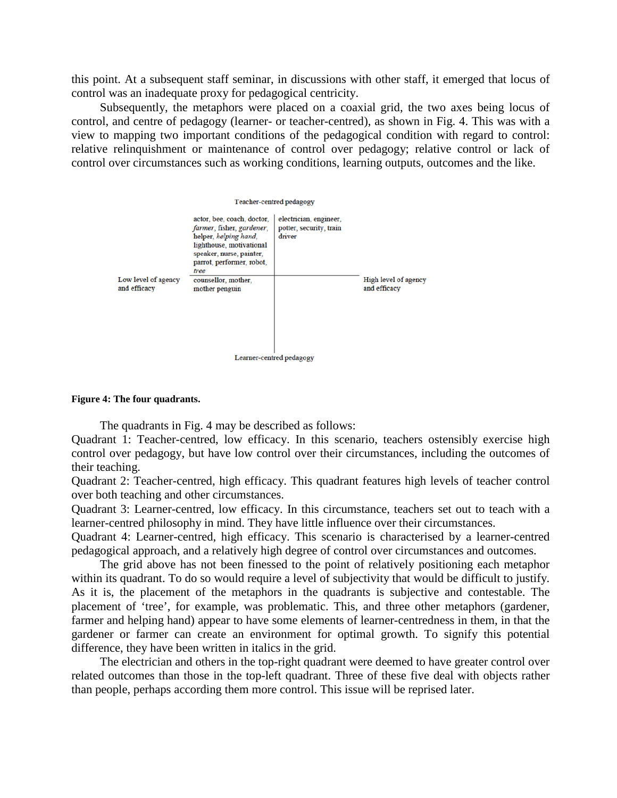this point. At a subsequent staff seminar, in discussions with other staff, it emerged that locus of control was an inadequate proxy for pedagogical centricity.

Subsequently, the metaphors were placed on a coaxial grid, the two axes being locus of control, and centre of pedagogy (learner- or teacher-centred), as shown in Fig. 4. This was with a view to mapping two important conditions of the pedagogical condition with regard to control: relative relinquishment or maintenance of control over pedagogy; relative control or lack of control over circumstances such as working conditions, learning outputs, outcomes and the like.





The quadrants in Fig. 4 may be described as follows:

Quadrant 1: Teacher-centred, low efficacy. In this scenario, teachers ostensibly exercise high control over pedagogy, but have low control over their circumstances, including the outcomes of their teaching.

Quadrant 2: Teacher-centred, high efficacy. This quadrant features high levels of teacher control over both teaching and other circumstances.

Quadrant 3: Learner-centred, low efficacy. In this circumstance, teachers set out to teach with a learner-centred philosophy in mind. They have little influence over their circumstances.

Quadrant 4: Learner-centred, high efficacy. This scenario is characterised by a learner-centred pedagogical approach, and a relatively high degree of control over circumstances and outcomes.

The grid above has not been finessed to the point of relatively positioning each metaphor within its quadrant. To do so would require a level of subjectivity that would be difficult to justify. As it is, the placement of the metaphors in the quadrants is subjective and contestable. The placement of 'tree', for example, was problematic. This, and three other metaphors (gardener, farmer and helping hand) appear to have some elements of learner-centredness in them, in that the gardener or farmer can create an environment for optimal growth. To signify this potential difference, they have been written in italics in the grid.

The electrician and others in the top-right quadrant were deemed to have greater control over related outcomes than those in the top-left quadrant. Three of these five deal with objects rather than people, perhaps according them more control. This issue will be reprised later.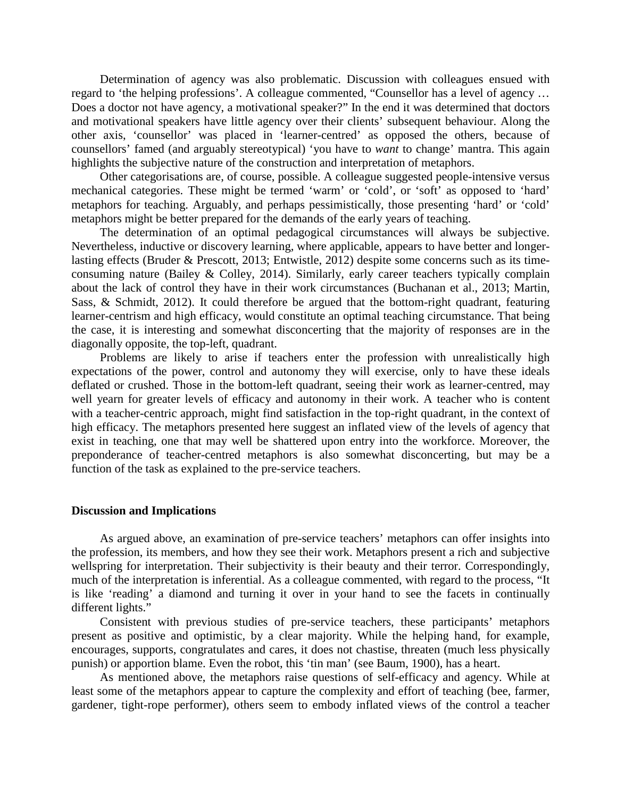Determination of agency was also problematic. Discussion with colleagues ensued with regard to 'the helping professions'. A colleague commented, "Counsellor has a level of agency … Does a doctor not have agency, a motivational speaker?" In the end it was determined that doctors and motivational speakers have little agency over their clients' subsequent behaviour. Along the other axis, 'counsellor' was placed in 'learner-centred' as opposed the others, because of counsellors' famed (and arguably stereotypical) 'you have to *want* to change' mantra. This again highlights the subjective nature of the construction and interpretation of metaphors.

Other categorisations are, of course, possible. A colleague suggested people-intensive versus mechanical categories. These might be termed 'warm' or 'cold', or 'soft' as opposed to 'hard' metaphors for teaching. Arguably, and perhaps pessimistically, those presenting 'hard' or 'cold' metaphors might be better prepared for the demands of the early years of teaching.

The determination of an optimal pedagogical circumstances will always be subjective. Nevertheless, inductive or discovery learning, where applicable, appears to have better and longerlasting effects (Bruder & Prescott, 2013; Entwistle, 2012) despite some concerns such as its timeconsuming nature (Bailey & Colley, 2014). Similarly, early career teachers typically complain about the lack of control they have in their work circumstances (Buchanan et al., 2013; Martin, Sass, & Schmidt, 2012). It could therefore be argued that the bottom-right quadrant, featuring learner-centrism and high efficacy, would constitute an optimal teaching circumstance. That being the case, it is interesting and somewhat disconcerting that the majority of responses are in the diagonally opposite, the top-left, quadrant.

Problems are likely to arise if teachers enter the profession with unrealistically high expectations of the power, control and autonomy they will exercise, only to have these ideals deflated or crushed. Those in the bottom-left quadrant, seeing their work as learner-centred, may well yearn for greater levels of efficacy and autonomy in their work. A teacher who is content with a teacher-centric approach, might find satisfaction in the top-right quadrant, in the context of high efficacy. The metaphors presented here suggest an inflated view of the levels of agency that exist in teaching, one that may well be shattered upon entry into the workforce. Moreover, the preponderance of teacher-centred metaphors is also somewhat disconcerting, but may be a function of the task as explained to the pre-service teachers.

### **Discussion and Implications**

As argued above, an examination of pre-service teachers' metaphors can offer insights into the profession, its members, and how they see their work. Metaphors present a rich and subjective wellspring for interpretation. Their subjectivity is their beauty and their terror. Correspondingly, much of the interpretation is inferential. As a colleague commented, with regard to the process, "It is like 'reading' a diamond and turning it over in your hand to see the facets in continually different lights."

Consistent with previous studies of pre-service teachers, these participants' metaphors present as positive and optimistic, by a clear majority. While the helping hand, for example, encourages, supports, congratulates and cares, it does not chastise, threaten (much less physically punish) or apportion blame. Even the robot, this 'tin man' (see Baum, 1900), has a heart.

As mentioned above, the metaphors raise questions of self-efficacy and agency. While at least some of the metaphors appear to capture the complexity and effort of teaching (bee, farmer, gardener, tight-rope performer), others seem to embody inflated views of the control a teacher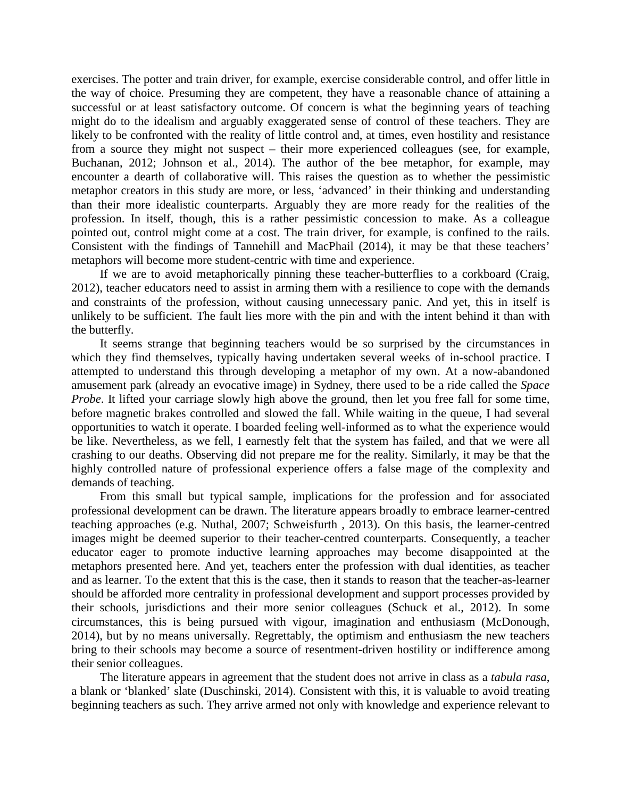exercises. The potter and train driver, for example, exercise considerable control, and offer little in the way of choice. Presuming they are competent, they have a reasonable chance of attaining a successful or at least satisfactory outcome. Of concern is what the beginning years of teaching might do to the idealism and arguably exaggerated sense of control of these teachers. They are likely to be confronted with the reality of little control and, at times, even hostility and resistance from a source they might not suspect – their more experienced colleagues (see, for example, Buchanan, 2012; Johnson et al., 2014). The author of the bee metaphor, for example, may encounter a dearth of collaborative will. This raises the question as to whether the pessimistic metaphor creators in this study are more, or less, 'advanced' in their thinking and understanding than their more idealistic counterparts. Arguably they are more ready for the realities of the profession. In itself, though, this is a rather pessimistic concession to make. As a colleague pointed out, control might come at a cost. The train driver, for example, is confined to the rails. Consistent with the findings of Tannehill and MacPhail (2014), it may be that these teachers' metaphors will become more student-centric with time and experience.

If we are to avoid metaphorically pinning these teacher-butterflies to a corkboard (Craig, 2012), teacher educators need to assist in arming them with a resilience to cope with the demands and constraints of the profession, without causing unnecessary panic. And yet, this in itself is unlikely to be sufficient. The fault lies more with the pin and with the intent behind it than with the butterfly.

It seems strange that beginning teachers would be so surprised by the circumstances in which they find themselves, typically having undertaken several weeks of in-school practice. I attempted to understand this through developing a metaphor of my own. At a now-abandoned amusement park (already an evocative image) in Sydney, there used to be a ride called the *Space Probe*. It lifted your carriage slowly high above the ground, then let you free fall for some time, before magnetic brakes controlled and slowed the fall. While waiting in the queue, I had several opportunities to watch it operate. I boarded feeling well-informed as to what the experience would be like. Nevertheless, as we fell, I earnestly felt that the system has failed, and that we were all crashing to our deaths. Observing did not prepare me for the reality. Similarly, it may be that the highly controlled nature of professional experience offers a false mage of the complexity and demands of teaching.

From this small but typical sample, implications for the profession and for associated professional development can be drawn. The literature appears broadly to embrace learner-centred teaching approaches (e.g. Nuthal, 2007; Schweisfurth , 2013). On this basis, the learner-centred images might be deemed superior to their teacher-centred counterparts. Consequently, a teacher educator eager to promote inductive learning approaches may become disappointed at the metaphors presented here. And yet, teachers enter the profession with dual identities, as teacher and as learner. To the extent that this is the case, then it stands to reason that the teacher-as-learner should be afforded more centrality in professional development and support processes provided by their schools, jurisdictions and their more senior colleagues (Schuck et al., 2012). In some circumstances, this is being pursued with vigour, imagination and enthusiasm (McDonough, 2014), but by no means universally. Regrettably, the optimism and enthusiasm the new teachers bring to their schools may become a source of resentment-driven hostility or indifference among their senior colleagues.

The literature appears in agreement that the student does not arrive in class as a *tabula rasa*, a blank or 'blanked' slate (Duschinski, 2014). Consistent with this, it is valuable to avoid treating beginning teachers as such. They arrive armed not only with knowledge and experience relevant to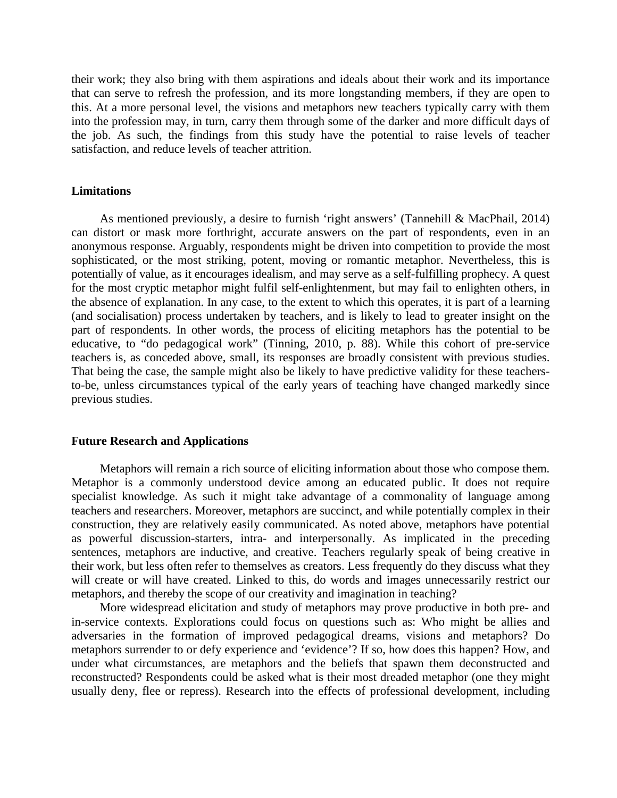their work; they also bring with them aspirations and ideals about their work and its importance that can serve to refresh the profession, and its more longstanding members, if they are open to this. At a more personal level, the visions and metaphors new teachers typically carry with them into the profession may, in turn, carry them through some of the darker and more difficult days of the job. As such, the findings from this study have the potential to raise levels of teacher satisfaction, and reduce levels of teacher attrition.

# **Limitations**

As mentioned previously, a desire to furnish 'right answers' (Tannehill & MacPhail, 2014) can distort or mask more forthright, accurate answers on the part of respondents, even in an anonymous response. Arguably, respondents might be driven into competition to provide the most sophisticated, or the most striking, potent, moving or romantic metaphor. Nevertheless, this is potentially of value, as it encourages idealism, and may serve as a self-fulfilling prophecy. A quest for the most cryptic metaphor might fulfil self-enlightenment, but may fail to enlighten others, in the absence of explanation. In any case, to the extent to which this operates, it is part of a learning (and socialisation) process undertaken by teachers, and is likely to lead to greater insight on the part of respondents. In other words, the process of eliciting metaphors has the potential to be educative, to "do pedagogical work" (Tinning, 2010, p. 88). While this cohort of pre-service teachers is, as conceded above, small, its responses are broadly consistent with previous studies. That being the case, the sample might also be likely to have predictive validity for these teachersto-be, unless circumstances typical of the early years of teaching have changed markedly since previous studies.

### **Future Research and Applications**

Metaphors will remain a rich source of eliciting information about those who compose them. Metaphor is a commonly understood device among an educated public. It does not require specialist knowledge. As such it might take advantage of a commonality of language among teachers and researchers. Moreover, metaphors are succinct, and while potentially complex in their construction, they are relatively easily communicated. As noted above, metaphors have potential as powerful discussion-starters, intra- and interpersonally. As implicated in the preceding sentences, metaphors are inductive, and creative. Teachers regularly speak of being creative in their work, but less often refer to themselves as creators. Less frequently do they discuss what they will create or will have created. Linked to this, do words and images unnecessarily restrict our metaphors, and thereby the scope of our creativity and imagination in teaching?

More widespread elicitation and study of metaphors may prove productive in both pre- and in-service contexts. Explorations could focus on questions such as: Who might be allies and adversaries in the formation of improved pedagogical dreams, visions and metaphors? Do metaphors surrender to or defy experience and 'evidence'? If so, how does this happen? How, and under what circumstances, are metaphors and the beliefs that spawn them deconstructed and reconstructed? Respondents could be asked what is their most dreaded metaphor (one they might usually deny, flee or repress). Research into the effects of professional development, including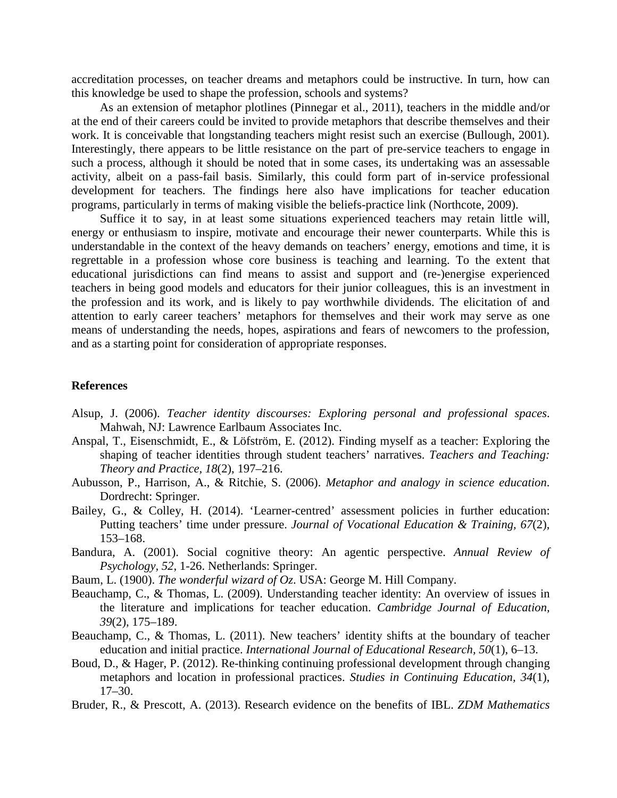accreditation processes, on teacher dreams and metaphors could be instructive. In turn, how can this knowledge be used to shape the profession, schools and systems?

As an extension of metaphor plotlines (Pinnegar et al., 2011), teachers in the middle and/or at the end of their careers could be invited to provide metaphors that describe themselves and their work. It is conceivable that longstanding teachers might resist such an exercise (Bullough, 2001). Interestingly, there appears to be little resistance on the part of pre-service teachers to engage in such a process, although it should be noted that in some cases, its undertaking was an assessable activity, albeit on a pass-fail basis. Similarly, this could form part of in-service professional development for teachers. The findings here also have implications for teacher education programs, particularly in terms of making visible the beliefs-practice link (Northcote, 2009).

Suffice it to say, in at least some situations experienced teachers may retain little will, energy or enthusiasm to inspire, motivate and encourage their newer counterparts. While this is understandable in the context of the heavy demands on teachers' energy, emotions and time, it is regrettable in a profession whose core business is teaching and learning. To the extent that educational jurisdictions can find means to assist and support and (re-)energise experienced teachers in being good models and educators for their junior colleagues, this is an investment in the profession and its work, and is likely to pay worthwhile dividends. The elicitation of and attention to early career teachers' metaphors for themselves and their work may serve as one means of understanding the needs, hopes, aspirations and fears of newcomers to the profession, and as a starting point for consideration of appropriate responses.

#### **References**

- Alsup, J. (2006). *Teacher identity discourses: Exploring personal and professional spaces*. Mahwah, NJ: Lawrence Earlbaum Associates Inc.
- Anspal, T., Eisenschmidt, E., & Löfström, E. (2012). Finding myself as a teacher: Exploring the shaping of teacher identities through student teachers' narratives. *Teachers and Teaching: Theory and Practice, 18*(2), 197–216.
- Aubusson, P., Harrison, A., & Ritchie, S. (2006). *Metaphor and analogy in science education*. Dordrecht: Springer.
- Bailey, G., & Colley, H. (2014). 'Learner-centred' assessment policies in further education: Putting teachers' time under pressure. *Journal of Vocational Education & Training, 67*(2), 153–168.
- Bandura, A. (2001). Social cognitive theory: An agentic perspective. *Annual Review of Psychology, 52*, 1-26. Netherlands: Springer.
- Baum, L. (1900). *The wonderful wizard of Oz*. USA: George M. Hill Company.
- Beauchamp, C., & Thomas, L. (2009). Understanding teacher identity: An overview of issues in the literature and implications for teacher education. *Cambridge Journal of Education, 39*(2), 175–189.
- Beauchamp, C., & Thomas, L. (2011). New teachers' identity shifts at the boundary of teacher education and initial practice. *International Journal of Educational Research, 50*(1), 6–13.
- Boud, D., & Hager, P. (2012). Re-thinking continuing professional development through changing metaphors and location in professional practices. *Studies in Continuing Education, 34*(1), 17–30.
- Bruder, R., & Prescott, A. (2013). Research evidence on the benefits of IBL. *ZDM Mathematics*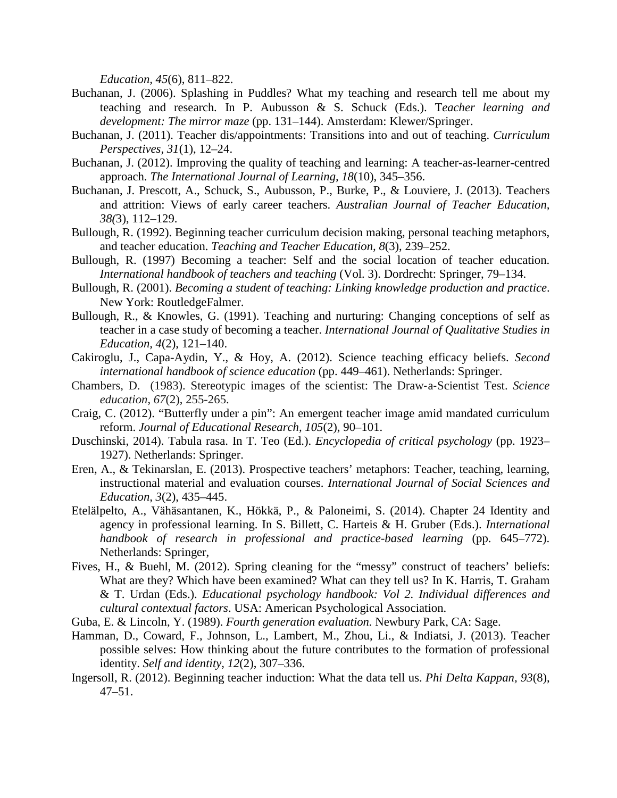*Education, 45*(6), 811–822.

- Buchanan, J. (2006). Splashing in Puddles? What my teaching and research tell me about my teaching and research*.* In P. Aubusson & S. Schuck (Eds.). T*eacher learning and development: The mirror maze* (pp. 131–144). Amsterdam: Klewer/Springer.
- Buchanan, J. (2011). Teacher dis/appointments: Transitions into and out of teaching. *Curriculum Perspectives, 31*(1), 12–24.
- Buchanan, J. (2012). Improving the quality of teaching and learning: A teacher-as-learner-centred approach. *The International Journal of Learning, 18*(10), 345–356.
- Buchanan, J. Prescott, A., Schuck, S., Aubusson, P., Burke, P., & Louviere, J. (2013). Teachers and attrition: Views of early career teachers. *Australian Journal of Teacher Education, 38(*3), 112–129.
- Bullough, R. (1992). Beginning teacher curriculum decision making, personal teaching metaphors, and teacher education. *Teaching and Teacher Education, 8*(3), 239–252.
- Bullough, R. (1997) Becoming a teacher: Self and the social location of teacher education. *International handbook of teachers and teaching* (Vol. 3). Dordrecht: Springer, 79–134.
- Bullough, R. (2001). *Becoming a student of teaching: Linking knowledge production and practice*. New York: RoutledgeFalmer.
- Bullough, R., & Knowles, G. (1991). Teaching and nurturing: Changing conceptions of self as teacher in a case study of becoming a teacher. *International Journal of Qualitative Studies in Education, 4*(2), 121–140.
- Cakiroglu, J., Capa-Aydin, Y., & Hoy, A. (2012). Science teaching efficacy beliefs. *Second international handbook of science education* (pp. 449–461). Netherlands: Springer.
- Chambers, D. (1983). Stereotypic images of the scientist: The Draw‐a‐Scientist Test. *Science education*, *67*(2), 255-265.
- Craig, C. (2012). "Butterfly under a pin": An emergent teacher image amid mandated curriculum reform. *Journal of Educational Research, 105*(2), 90–101.
- Duschinski, 2014). Tabula rasa. In T. Teo (Ed.). *Encyclopedia of critical psychology* (pp. 1923– 1927). Netherlands: Springer.
- Eren, A., & Tekinarslan, E. (2013). Prospective teachers' metaphors: Teacher, teaching, learning, instructional material and evaluation courses. *International Journal of Social Sciences and Education, 3*(2), 435–445.
- Etelälpelto, A., Vähäsantanen, K., Hökkä, P., & Paloneimi, S. (2014). Chapter 24 Identity and agency in professional learning. In S. Billett, C. Harteis & H. Gruber (Eds.). *International handbook of research in professional and practice-based learning* (pp. 645–772). Netherlands: Springer,
- Fives, H., & Buehl, M. (2012). Spring cleaning for the "messy" construct of teachers' beliefs: What are they? Which have been examined? What can they tell us? In K. Harris, T. Graham & T. Urdan (Eds.). *Educational psychology handbook: Vol 2. Individual differences and cultural contextual factors*. USA: American Psychological Association.
- Guba, E. & Lincoln, Y. (1989). *Fourth generation evaluation.* Newbury Park, CA: Sage.
- Hamman, D., Coward, F., Johnson, L., Lambert, M., Zhou, Li., & Indiatsi, J. (2013). Teacher possible selves: How thinking about the future contributes to the formation of professional identity. *Self and identity, 12*(2), 307–336.
- Ingersoll, R. (2012). Beginning teacher induction: What the data tell us. *Phi Delta Kappan, 93*(8), 47–51.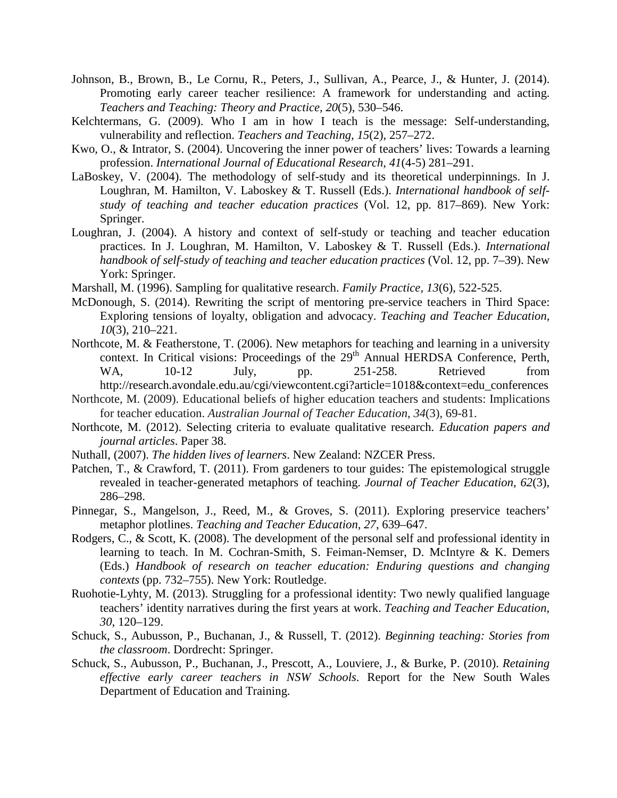- Johnson, B., Brown, B., Le Cornu, R., Peters, J., Sullivan, A., Pearce, J., & Hunter, J. (2014). Promoting early career teacher resilience: A framework for understanding and acting. *Teachers and Teaching: Theory and Practice, 20*(5), 530–546.
- Kelchtermans, G. (2009). Who I am in how I teach is the message: Self-understanding, vulnerability and reflection. *Teachers and Teaching, 15*(2), 257–272.
- Kwo, O., & Intrator, S. (2004). Uncovering the inner power of teachers' lives: Towards a learning profession. *International Journal of Educational Research, 41*(4-5) 281–291.
- LaBoskey, V. (2004). The methodology of self-study and its theoretical underpinnings. In J. Loughran, M. Hamilton, V. Laboskey & T. Russell (Eds.). *International handbook of selfstudy of teaching and teacher education practices* (Vol. 12, pp. 817–869). New York: Springer.
- Loughran, J. (2004). A history and context of self-study or teaching and teacher education practices. In J. Loughran, M. Hamilton, V. Laboskey & T. Russell (Eds.). *International handbook of self-study of teaching and teacher education practices (Vol. 12, pp. 7–39).* New York: Springer.
- Marshall, M. (1996). Sampling for qualitative research. *Family Practice, 13*(6), 522-525.
- McDonough, S. (2014). Rewriting the script of mentoring pre-service teachers in Third Space: Exploring tensions of loyalty, obligation and advocacy. *Teaching and Teacher Education, 10*(3), 210–221.
- Northcote, M. & Featherstone, T. (2006). New metaphors for teaching and learning in a university context. In Critical visions: Proceedings of the  $29<sup>th</sup>$  Annual HERDSA Conference, Perth, WA, 10-12 July, pp. 251-258. Retrieved from http://research.avondale.edu.au/cgi/viewcontent.cgi?article=1018&context=edu\_conferences
- Northcote, M. (2009). Educational beliefs of higher education teachers and students: Implications

for teacher education. *Australian Journal of Teacher Education*, *34*(3), 69-81.

- Northcote, M. (2012). Selecting criteria to evaluate qualitative research. *Education papers and journal articles*. Paper 38.
- Nuthall, (2007). *The hidden lives of learners*. New Zealand: NZCER Press.
- Patchen, T., & Crawford, T. (2011). From gardeners to tour guides: The epistemological struggle revealed in teacher-generated metaphors of teaching. *Journal of Teacher Education, 62*(3), 286–298.
- Pinnegar, S., Mangelson, J., Reed, M., & Groves, S. (2011). Exploring preservice teachers' metaphor plotlines. *Teaching and Teacher Education, 27*, 639–647.
- Rodgers, C., & Scott, K. (2008). The development of the personal self and professional identity in learning to teach. In M. Cochran-Smith, S. Feiman-Nemser, D. McIntyre & K. Demers (Eds.) *Handbook of research on teacher education: Enduring questions and changing contexts* (pp. 732–755). New York: Routledge.
- Ruohotie-Lyhty, M. (2013). Struggling for a professional identity: Two newly qualified language teachers' identity narratives during the first years at work. *Teaching and Teacher Education, 30*, 120–129.
- Schuck, S., Aubusson, P., Buchanan, J., & Russell, T. (2012). *Beginning teaching: Stories from the classroom*. Dordrecht: Springer.
- Schuck, S., Aubusson, P., Buchanan, J., Prescott, A., Louviere, J., & Burke, P. (2010). *Retaining effective early career teachers in NSW Schools*. Report for the New South Wales Department of Education and Training.